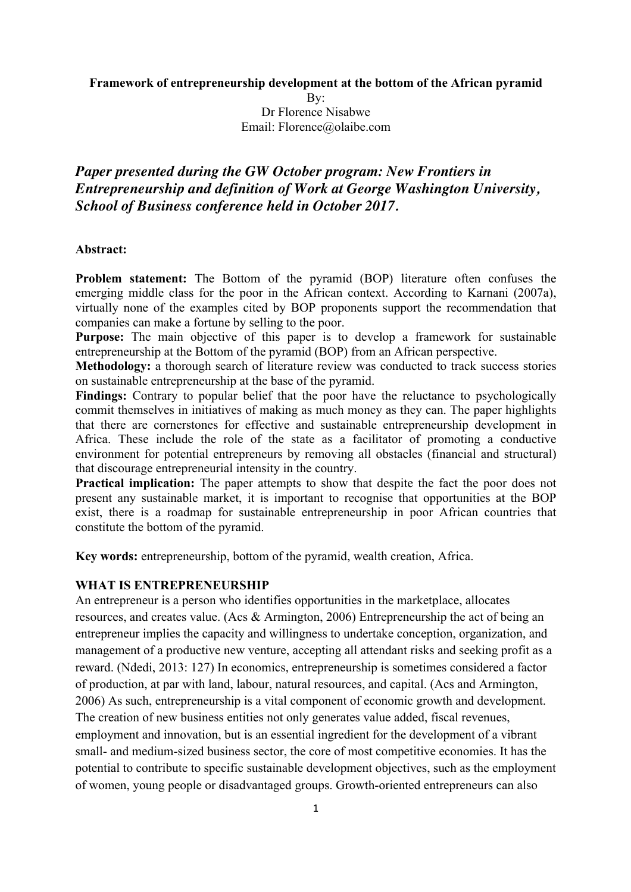**Framework of entrepreneurship development at the bottom of the African pyramid**

By:

Dr Florence Nisabwe Email: Florence@olaibe.com

# *Paper presented during the GW October program: New Frontiers in Entrepreneurship and definition of Work at George Washington University, School of Business conference held in October 2017.*

### **Abstract:**

**Problem statement:** The Bottom of the pyramid (BOP) literature often confuses the emerging middle class for the poor in the African context. According to Karnani (2007a), virtually none of the examples cited by BOP proponents support the recommendation that companies can make a fortune by selling to the poor.

**Purpose:** The main objective of this paper is to develop a framework for sustainable entrepreneurship at the Bottom of the pyramid (BOP) from an African perspective.

**Methodology:** a thorough search of literature review was conducted to track success stories on sustainable entrepreneurship at the base of the pyramid.

Findings: Contrary to popular belief that the poor have the reluctance to psychologically commit themselves in initiatives of making as much money as they can. The paper highlights that there are cornerstones for effective and sustainable entrepreneurship development in Africa. These include the role of the state as a facilitator of promoting a conductive environment for potential entrepreneurs by removing all obstacles (financial and structural) that discourage entrepreneurial intensity in the country.

**Practical implication:** The paper attempts to show that despite the fact the poor does not present any sustainable market, it is important to recognise that opportunities at the BOP exist, there is a roadmap for sustainable entrepreneurship in poor African countries that constitute the bottom of the pyramid.

**Key words:** entrepreneurship, bottom of the pyramid, wealth creation, Africa.

## **WHAT IS ENTREPRENEURSHIP**

An entrepreneur is a person who identifies opportunities in the marketplace, allocates resources, and creates value. (Acs & Armington, 2006) Entrepreneurship the act of being an entrepreneur implies the capacity and willingness to undertake conception, organization, and management of a productive new venture, accepting all attendant risks and seeking profit as a reward. (Ndedi, 2013: 127) In economics, entrepreneurship is sometimes considered a factor of production, at par with land, labour, natural resources, and capital. (Acs and Armington, 2006) As such, entrepreneurship is a vital component of economic growth and development. The creation of new business entities not only generates value added, fiscal revenues, employment and innovation, but is an essential ingredient for the development of a vibrant small- and medium-sized business sector, the core of most competitive economies. It has the potential to contribute to specific sustainable development objectives, such as the employment of women, young people or disadvantaged groups. Growth-oriented entrepreneurs can also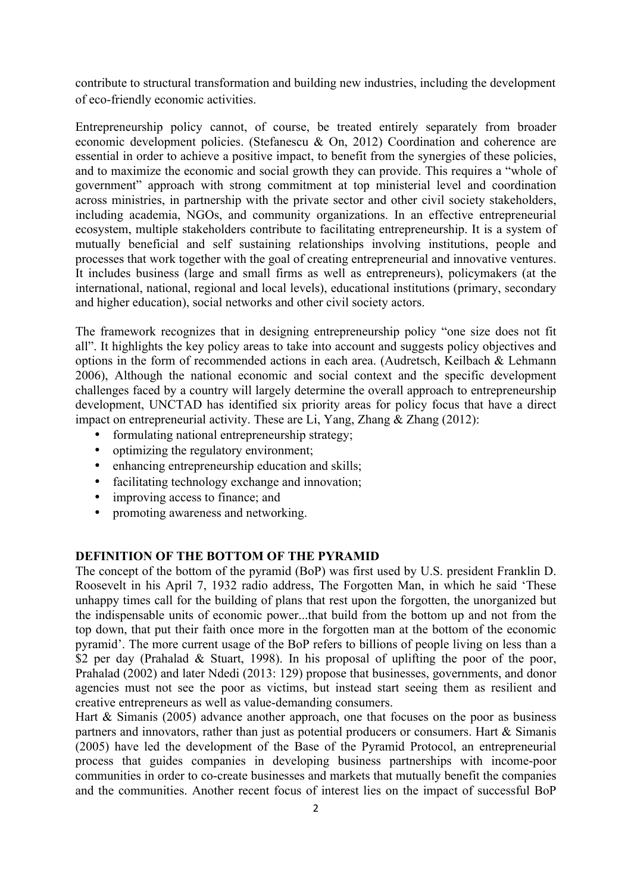contribute to structural transformation and building new industries, including the development of eco-friendly economic activities.

Entrepreneurship policy cannot, of course, be treated entirely separately from broader economic development policies. (Stefanescu & On, 2012) Coordination and coherence are essential in order to achieve a positive impact, to benefit from the synergies of these policies, and to maximize the economic and social growth they can provide. This requires a "whole of government" approach with strong commitment at top ministerial level and coordination across ministries, in partnership with the private sector and other civil society stakeholders, including academia, NGOs, and community organizations. In an effective entrepreneurial ecosystem, multiple stakeholders contribute to facilitating entrepreneurship. It is a system of mutually beneficial and self sustaining relationships involving institutions, people and processes that work together with the goal of creating entrepreneurial and innovative ventures. It includes business (large and small firms as well as entrepreneurs), policymakers (at the international, national, regional and local levels), educational institutions (primary, secondary and higher education), social networks and other civil society actors.

The framework recognizes that in designing entrepreneurship policy "one size does not fit all". It highlights the key policy areas to take into account and suggests policy objectives and options in the form of recommended actions in each area. (Audretsch, Keilbach & Lehmann 2006), Although the national economic and social context and the specific development challenges faced by a country will largely determine the overall approach to entrepreneurship development, UNCTAD has identified six priority areas for policy focus that have a direct impact on entrepreneurial activity. These are Li, Yang, Zhang & Zhang (2012):

- formulating national entrepreneurship strategy;
- optimizing the regulatory environment;
- enhancing entrepreneurship education and skills;
- facilitating technology exchange and innovation;
- improving access to finance; and
- promoting awareness and networking.

## **DEFINITION OF THE BOTTOM OF THE PYRAMID**

The concept of the bottom of the pyramid (BoP) was first used by U.S. president Franklin D. Roosevelt in his April 7, 1932 radio address, The Forgotten Man, in which he said 'These unhappy times call for the building of plans that rest upon the forgotten, the unorganized but the indispensable units of economic power...that build from the bottom up and not from the top down, that put their faith once more in the forgotten man at the bottom of the economic pyramid'. The more current usage of the BoP refers to billions of people living on less than a \$2 per day (Prahalad & Stuart, 1998). In his proposal of uplifting the poor of the poor, Prahalad (2002) and later Ndedi (2013: 129) propose that businesses, governments, and donor agencies must not see the poor as victims, but instead start seeing them as resilient and creative entrepreneurs as well as value-demanding consumers.

Hart  $& Simanis (2005)$  advance another approach, one that focuses on the poor as business partners and innovators, rather than just as potential producers or consumers. Hart & Simanis (2005) have led the development of the Base of the Pyramid Protocol, an entrepreneurial process that guides companies in developing business partnerships with income-poor communities in order to co-create businesses and markets that mutually benefit the companies and the communities. Another recent focus of interest lies on the impact of successful BoP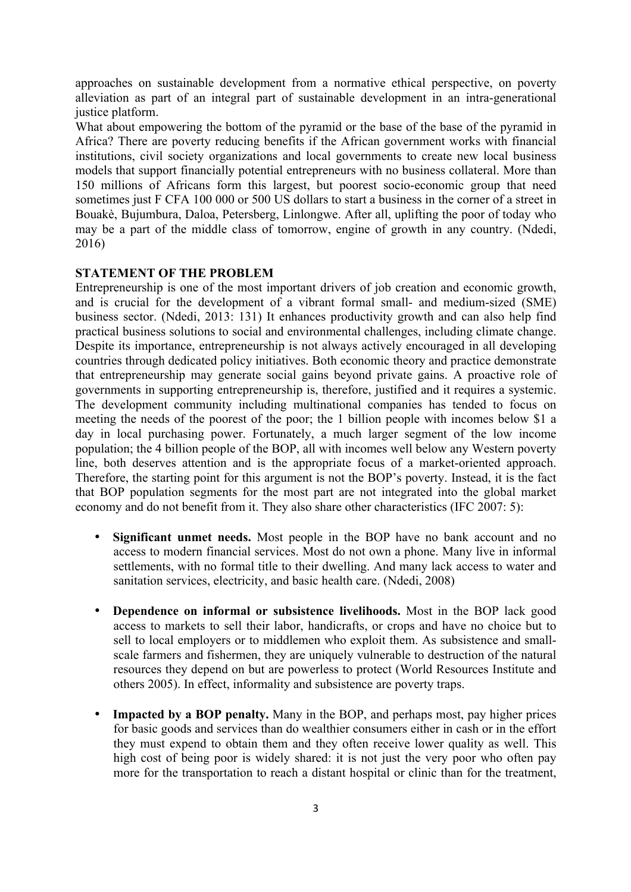approaches on sustainable development from a normative ethical perspective, on poverty alleviation as part of an integral part of sustainable development in an intra-generational justice platform.

What about empowering the bottom of the pyramid or the base of the base of the pyramid in Africa? There are poverty reducing benefits if the African government works with financial institutions, civil society organizations and local governments to create new local business models that support financially potential entrepreneurs with no business collateral. More than 150 millions of Africans form this largest, but poorest socio-economic group that need sometimes just F CFA 100 000 or 500 US dollars to start a business in the corner of a street in Bouakè, Bujumbura, Daloa, Petersberg, Linlongwe. After all, uplifting the poor of today who may be a part of the middle class of tomorrow, engine of growth in any country. (Ndedi, 2016)

## **STATEMENT OF THE PROBLEM**

Entrepreneurship is one of the most important drivers of job creation and economic growth, and is crucial for the development of a vibrant formal small- and medium-sized (SME) business sector. (Ndedi, 2013: 131) It enhances productivity growth and can also help find practical business solutions to social and environmental challenges, including climate change. Despite its importance, entrepreneurship is not always actively encouraged in all developing countries through dedicated policy initiatives. Both economic theory and practice demonstrate that entrepreneurship may generate social gains beyond private gains. A proactive role of governments in supporting entrepreneurship is, therefore, justified and it requires a systemic. The development community including multinational companies has tended to focus on meeting the needs of the poorest of the poor; the 1 billion people with incomes below \$1 a day in local purchasing power. Fortunately, a much larger segment of the low income population; the 4 billion people of the BOP, all with incomes well below any Western poverty line, both deserves attention and is the appropriate focus of a market-oriented approach. Therefore, the starting point for this argument is not the BOP's poverty. Instead, it is the fact that BOP population segments for the most part are not integrated into the global market economy and do not benefit from it. They also share other characteristics (IFC 2007: 5):

- **Significant unmet needs.** Most people in the BOP have no bank account and no access to modern financial services. Most do not own a phone. Many live in informal settlements, with no formal title to their dwelling. And many lack access to water and sanitation services, electricity, and basic health care. (Ndedi, 2008)
- **Dependence on informal or subsistence livelihoods.** Most in the BOP lack good access to markets to sell their labor, handicrafts, or crops and have no choice but to sell to local employers or to middlemen who exploit them. As subsistence and smallscale farmers and fishermen, they are uniquely vulnerable to destruction of the natural resources they depend on but are powerless to protect (World Resources Institute and others 2005). In effect, informality and subsistence are poverty traps.
- **Impacted by a BOP penalty.** Many in the BOP, and perhaps most, pay higher prices for basic goods and services than do wealthier consumers either in cash or in the effort they must expend to obtain them and they often receive lower quality as well. This high cost of being poor is widely shared: it is not just the very poor who often pay more for the transportation to reach a distant hospital or clinic than for the treatment,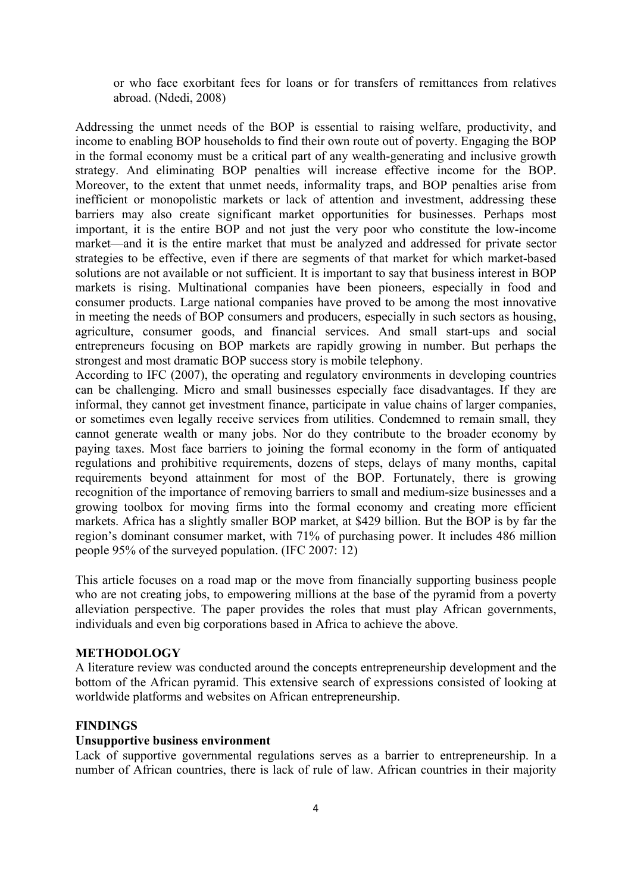or who face exorbitant fees for loans or for transfers of remittances from relatives abroad. (Ndedi, 2008)

Addressing the unmet needs of the BOP is essential to raising welfare, productivity, and income to enabling BOP households to find their own route out of poverty. Engaging the BOP in the formal economy must be a critical part of any wealth-generating and inclusive growth strategy. And eliminating BOP penalties will increase effective income for the BOP. Moreover, to the extent that unmet needs, informality traps, and BOP penalties arise from inefficient or monopolistic markets or lack of attention and investment, addressing these barriers may also create significant market opportunities for businesses. Perhaps most important, it is the entire BOP and not just the very poor who constitute the low-income market—and it is the entire market that must be analyzed and addressed for private sector strategies to be effective, even if there are segments of that market for which market-based solutions are not available or not sufficient. It is important to say that business interest in BOP markets is rising. Multinational companies have been pioneers, especially in food and consumer products. Large national companies have proved to be among the most innovative in meeting the needs of BOP consumers and producers, especially in such sectors as housing, agriculture, consumer goods, and financial services. And small start-ups and social entrepreneurs focusing on BOP markets are rapidly growing in number. But perhaps the strongest and most dramatic BOP success story is mobile telephony.

According to IFC (2007), the operating and regulatory environments in developing countries can be challenging. Micro and small businesses especially face disadvantages. If they are informal, they cannot get investment finance, participate in value chains of larger companies, or sometimes even legally receive services from utilities. Condemned to remain small, they cannot generate wealth or many jobs. Nor do they contribute to the broader economy by paying taxes. Most face barriers to joining the formal economy in the form of antiquated regulations and prohibitive requirements, dozens of steps, delays of many months, capital requirements beyond attainment for most of the BOP. Fortunately, there is growing recognition of the importance of removing barriers to small and medium-size businesses and a growing toolbox for moving firms into the formal economy and creating more efficient markets. Africa has a slightly smaller BOP market, at \$429 billion. But the BOP is by far the region's dominant consumer market, with 71% of purchasing power. It includes 486 million people 95% of the surveyed population. (IFC 2007: 12)

This article focuses on a road map or the move from financially supporting business people who are not creating jobs, to empowering millions at the base of the pyramid from a poverty alleviation perspective. The paper provides the roles that must play African governments, individuals and even big corporations based in Africa to achieve the above.

### **METHODOLOGY**

A literature review was conducted around the concepts entrepreneurship development and the bottom of the African pyramid. This extensive search of expressions consisted of looking at worldwide platforms and websites on African entrepreneurship.

## **FINDINGS**

### **Unsupportive business environment**

Lack of supportive governmental regulations serves as a barrier to entrepreneurship. In a number of African countries, there is lack of rule of law. African countries in their majority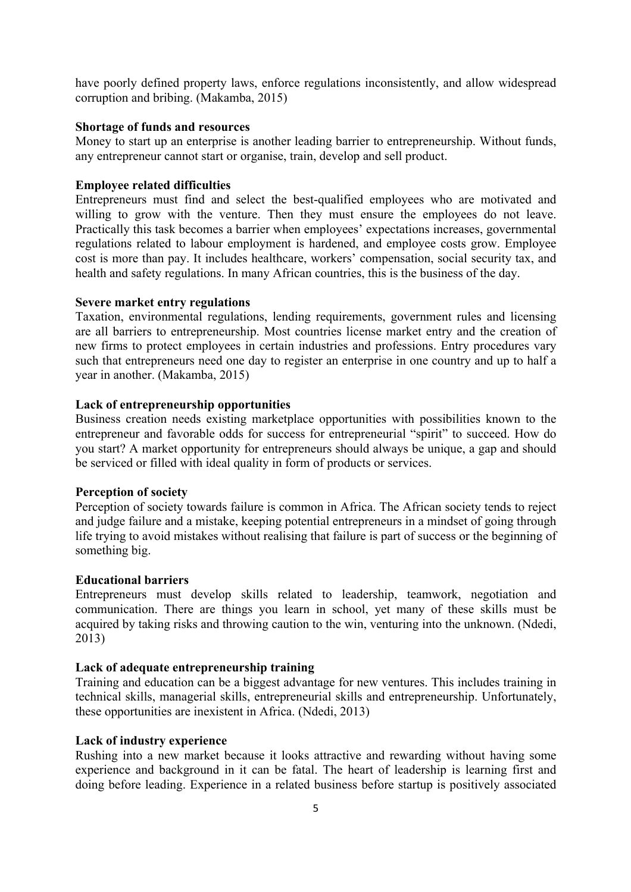have poorly defined property laws, enforce regulations inconsistently, and allow widespread corruption and bribing. (Makamba, 2015)

### **Shortage of funds and resources**

Money to start up an enterprise is another leading barrier to entrepreneurship. Without funds, any entrepreneur cannot start or organise, train, develop and sell product.

## **Employee related difficulties**

Entrepreneurs must find and select the best-qualified employees who are motivated and willing to grow with the venture. Then they must ensure the employees do not leave. Practically this task becomes a barrier when employees' expectations increases, governmental regulations related to labour employment is hardened, and employee costs grow. Employee cost is more than pay. It includes healthcare, workers' compensation, social security tax, and health and safety regulations. In many African countries, this is the business of the day.

### **Severe market entry regulations**

Taxation, environmental regulations, lending requirements, government rules and licensing are all barriers to entrepreneurship. Most countries license market entry and the creation of new firms to protect employees in certain industries and professions. Entry procedures vary such that entrepreneurs need one day to register an enterprise in one country and up to half a year in another. (Makamba, 2015)

### **Lack of entrepreneurship opportunities**

Business creation needs existing marketplace opportunities with possibilities known to the entrepreneur and favorable odds for success for entrepreneurial "spirit" to succeed. How do you start? A market opportunity for entrepreneurs should always be unique, a gap and should be serviced or filled with ideal quality in form of products or services.

### **Perception of society**

Perception of society towards failure is common in Africa. The African society tends to reject and judge failure and a mistake, keeping potential entrepreneurs in a mindset of going through life trying to avoid mistakes without realising that failure is part of success or the beginning of something big.

### **Educational barriers**

Entrepreneurs must develop skills related to leadership, teamwork, negotiation and communication. There are things you learn in school, yet many of these skills must be acquired by taking risks and throwing caution to the win, venturing into the unknown. (Ndedi, 2013)

## **Lack of adequate entrepreneurship training**

Training and education can be a biggest advantage for new ventures. This includes training in technical skills, managerial skills, entrepreneurial skills and entrepreneurship. Unfortunately, these opportunities are inexistent in Africa. (Ndedi, 2013)

### **Lack of industry experience**

Rushing into a new market because it looks attractive and rewarding without having some experience and background in it can be fatal. The heart of leadership is learning first and doing before leading. Experience in a related business before startup is positively associated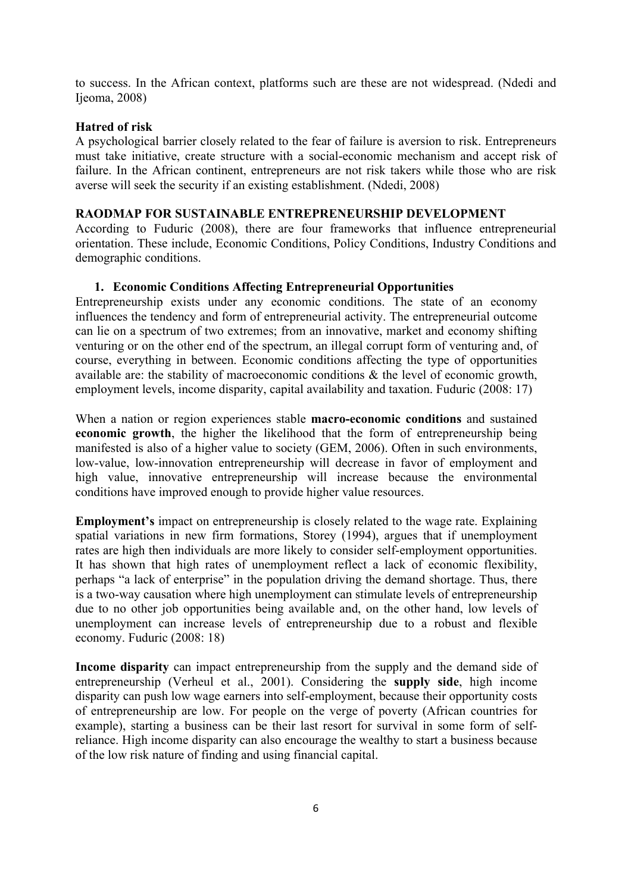to success. In the African context, platforms such are these are not widespread. (Ndedi and Ijeoma, 2008)

## **Hatred of risk**

A psychological barrier closely related to the fear of failure is aversion to risk. Entrepreneurs must take initiative, create structure with a social-economic mechanism and accept risk of failure. In the African continent, entrepreneurs are not risk takers while those who are risk averse will seek the security if an existing establishment. (Ndedi, 2008)

### **RAODMAP FOR SUSTAINABLE ENTREPRENEURSHIP DEVELOPMENT**

According to Fuduric (2008), there are four frameworks that influence entrepreneurial orientation. These include, Economic Conditions, Policy Conditions, Industry Conditions and demographic conditions.

## **1. Economic Conditions Affecting Entrepreneurial Opportunities**

Entrepreneurship exists under any economic conditions. The state of an economy influences the tendency and form of entrepreneurial activity. The entrepreneurial outcome can lie on a spectrum of two extremes; from an innovative, market and economy shifting venturing or on the other end of the spectrum, an illegal corrupt form of venturing and, of course, everything in between. Economic conditions affecting the type of opportunities available are: the stability of macroeconomic conditions & the level of economic growth, employment levels, income disparity, capital availability and taxation. Fuduric (2008: 17)

When a nation or region experiences stable **macro-economic conditions** and sustained **economic growth**, the higher the likelihood that the form of entrepreneurship being manifested is also of a higher value to society (GEM, 2006). Often in such environments, low-value, low-innovation entrepreneurship will decrease in favor of employment and high value, innovative entrepreneurship will increase because the environmental conditions have improved enough to provide higher value resources.

**Employment's** impact on entrepreneurship is closely related to the wage rate. Explaining spatial variations in new firm formations, Storey (1994), argues that if unemployment rates are high then individuals are more likely to consider self-employment opportunities. It has shown that high rates of unemployment reflect a lack of economic flexibility, perhaps "a lack of enterprise" in the population driving the demand shortage. Thus, there is a two-way causation where high unemployment can stimulate levels of entrepreneurship due to no other job opportunities being available and, on the other hand, low levels of unemployment can increase levels of entrepreneurship due to a robust and flexible economy. Fuduric (2008: 18)

**Income disparity** can impact entrepreneurship from the supply and the demand side of entrepreneurship (Verheul et al., 2001). Considering the **supply side**, high income disparity can push low wage earners into self-employment, because their opportunity costs of entrepreneurship are low. For people on the verge of poverty (African countries for example), starting a business can be their last resort for survival in some form of selfreliance. High income disparity can also encourage the wealthy to start a business because of the low risk nature of finding and using financial capital.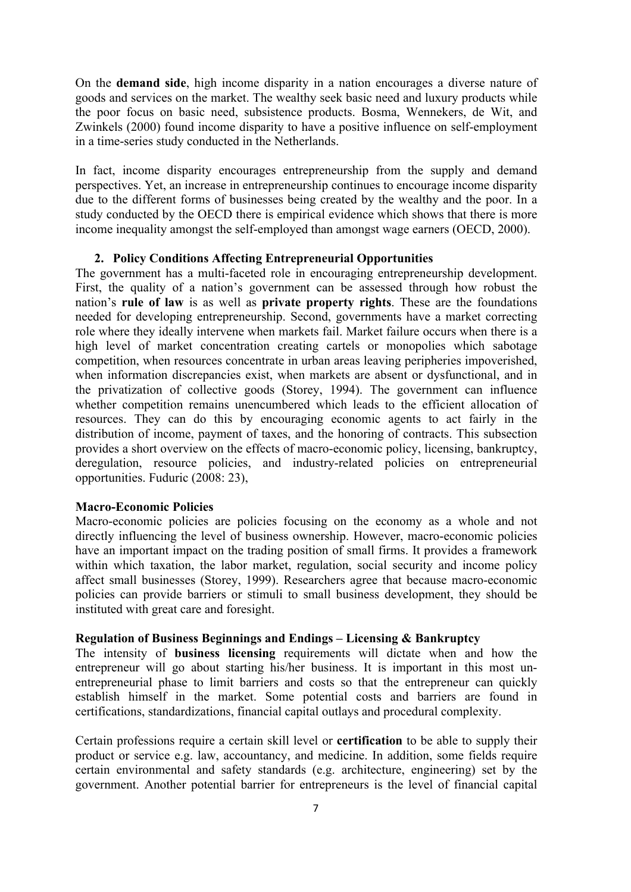On the **demand side**, high income disparity in a nation encourages a diverse nature of goods and services on the market. The wealthy seek basic need and luxury products while the poor focus on basic need, subsistence products. Bosma, Wennekers, de Wit, and Zwinkels (2000) found income disparity to have a positive influence on self-employment in a time-series study conducted in the Netherlands.

In fact, income disparity encourages entrepreneurship from the supply and demand perspectives. Yet, an increase in entrepreneurship continues to encourage income disparity due to the different forms of businesses being created by the wealthy and the poor. In a study conducted by the OECD there is empirical evidence which shows that there is more income inequality amongst the self-employed than amongst wage earners (OECD, 2000).

#### **2. Policy Conditions Affecting Entrepreneurial Opportunities**

The government has a multi-faceted role in encouraging entrepreneurship development. First, the quality of a nation's government can be assessed through how robust the nation's **rule of law** is as well as **private property rights**. These are the foundations needed for developing entrepreneurship. Second, governments have a market correcting role where they ideally intervene when markets fail. Market failure occurs when there is a high level of market concentration creating cartels or monopolies which sabotage competition, when resources concentrate in urban areas leaving peripheries impoverished, when information discrepancies exist, when markets are absent or dysfunctional, and in the privatization of collective goods (Storey, 1994). The government can influence whether competition remains unencumbered which leads to the efficient allocation of resources. They can do this by encouraging economic agents to act fairly in the distribution of income, payment of taxes, and the honoring of contracts. This subsection provides a short overview on the effects of macro-economic policy, licensing, bankruptcy, deregulation, resource policies, and industry-related policies on entrepreneurial opportunities. Fuduric (2008: 23),

## **Macro-Economic Policies**

Macro-economic policies are policies focusing on the economy as a whole and not directly influencing the level of business ownership. However, macro-economic policies have an important impact on the trading position of small firms. It provides a framework within which taxation, the labor market, regulation, social security and income policy affect small businesses (Storey, 1999). Researchers agree that because macro-economic policies can provide barriers or stimuli to small business development, they should be instituted with great care and foresight.

### **Regulation of Business Beginnings and Endings – Licensing & Bankruptcy**

The intensity of **business licensing** requirements will dictate when and how the entrepreneur will go about starting his/her business. It is important in this most unentrepreneurial phase to limit barriers and costs so that the entrepreneur can quickly establish himself in the market. Some potential costs and barriers are found in certifications, standardizations, financial capital outlays and procedural complexity.

Certain professions require a certain skill level or **certification** to be able to supply their product or service e.g. law, accountancy, and medicine. In addition, some fields require certain environmental and safety standards (e.g. architecture, engineering) set by the government. Another potential barrier for entrepreneurs is the level of financial capital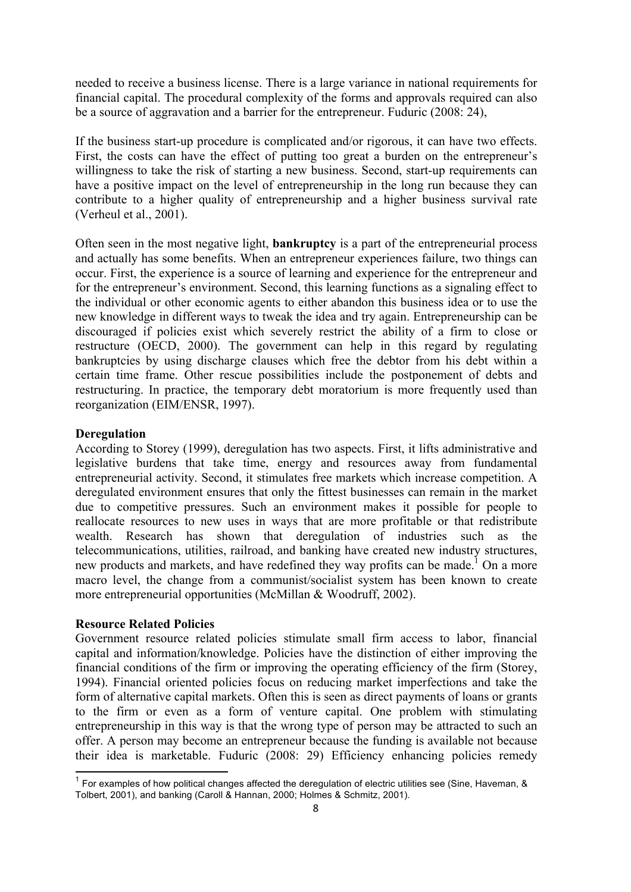needed to receive a business license. There is a large variance in national requirements for financial capital. The procedural complexity of the forms and approvals required can also be a source of aggravation and a barrier for the entrepreneur. Fuduric (2008: 24),

If the business start-up procedure is complicated and/or rigorous, it can have two effects. First, the costs can have the effect of putting too great a burden on the entrepreneur's willingness to take the risk of starting a new business. Second, start-up requirements can have a positive impact on the level of entrepreneurship in the long run because they can contribute to a higher quality of entrepreneurship and a higher business survival rate (Verheul et al., 2001).

Often seen in the most negative light, **bankruptcy** is a part of the entrepreneurial process and actually has some benefits. When an entrepreneur experiences failure, two things can occur. First, the experience is a source of learning and experience for the entrepreneur and for the entrepreneur's environment. Second, this learning functions as a signaling effect to the individual or other economic agents to either abandon this business idea or to use the new knowledge in different ways to tweak the idea and try again. Entrepreneurship can be discouraged if policies exist which severely restrict the ability of a firm to close or restructure (OECD, 2000). The government can help in this regard by regulating bankruptcies by using discharge clauses which free the debtor from his debt within a certain time frame. Other rescue possibilities include the postponement of debts and restructuring. In practice, the temporary debt moratorium is more frequently used than reorganization (EIM/ENSR, 1997).

### **Deregulation**

According to Storey (1999), deregulation has two aspects. First, it lifts administrative and legislative burdens that take time, energy and resources away from fundamental entrepreneurial activity. Second, it stimulates free markets which increase competition. A deregulated environment ensures that only the fittest businesses can remain in the market due to competitive pressures. Such an environment makes it possible for people to reallocate resources to new uses in ways that are more profitable or that redistribute wealth. Research has shown that deregulation of industries such as the telecommunications, utilities, railroad, and banking have created new industry structures, new products and markets, and have redefined they way profits can be made.<sup>1</sup> On a more macro level, the change from a communist/socialist system has been known to create more entrepreneurial opportunities (McMillan & Woodruff, 2002).

### **Resource Related Policies**

Government resource related policies stimulate small firm access to labor, financial capital and information/knowledge. Policies have the distinction of either improving the financial conditions of the firm or improving the operating efficiency of the firm (Storey, 1994). Financial oriented policies focus on reducing market imperfections and take the form of alternative capital markets. Often this is seen as direct payments of loans or grants to the firm or even as a form of venture capital. One problem with stimulating entrepreneurship in this way is that the wrong type of person may be attracted to such an offer. A person may become an entrepreneur because the funding is available not because their idea is marketable. Fuduric (2008: 29) Efficiency enhancing policies remedy

<sup>&</sup>lt;sup>1</sup> For examples of how political changes affected the deregulation of electric utilities see (Sine, Haveman, & Tolbert, 2001), and banking (Caroll & Hannan, 2000; Holmes & Schmitz, 2001).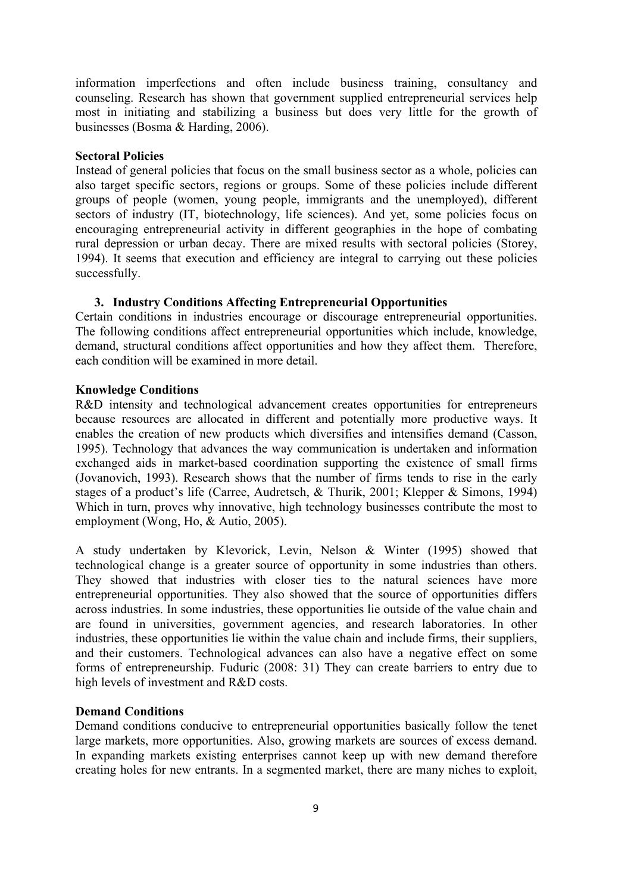information imperfections and often include business training, consultancy and counseling. Research has shown that government supplied entrepreneurial services help most in initiating and stabilizing a business but does very little for the growth of businesses (Bosma & Harding, 2006).

### **Sectoral Policies**

Instead of general policies that focus on the small business sector as a whole, policies can also target specific sectors, regions or groups. Some of these policies include different groups of people (women, young people, immigrants and the unemployed), different sectors of industry (IT, biotechnology, life sciences). And yet, some policies focus on encouraging entrepreneurial activity in different geographies in the hope of combating rural depression or urban decay. There are mixed results with sectoral policies (Storey, 1994). It seems that execution and efficiency are integral to carrying out these policies successfully.

#### **3. Industry Conditions Affecting Entrepreneurial Opportunities**

Certain conditions in industries encourage or discourage entrepreneurial opportunities. The following conditions affect entrepreneurial opportunities which include, knowledge, demand, structural conditions affect opportunities and how they affect them. Therefore, each condition will be examined in more detail.

#### **Knowledge Conditions**

R&D intensity and technological advancement creates opportunities for entrepreneurs because resources are allocated in different and potentially more productive ways. It enables the creation of new products which diversifies and intensifies demand (Casson, 1995). Technology that advances the way communication is undertaken and information exchanged aids in market-based coordination supporting the existence of small firms (Jovanovich, 1993). Research shows that the number of firms tends to rise in the early stages of a product's life (Carree, Audretsch, & Thurik, 2001; Klepper & Simons, 1994) Which in turn, proves why innovative, high technology businesses contribute the most to employment (Wong, Ho, & Autio, 2005).

A study undertaken by Klevorick, Levin, Nelson & Winter (1995) showed that technological change is a greater source of opportunity in some industries than others. They showed that industries with closer ties to the natural sciences have more entrepreneurial opportunities. They also showed that the source of opportunities differs across industries. In some industries, these opportunities lie outside of the value chain and are found in universities, government agencies, and research laboratories. In other industries, these opportunities lie within the value chain and include firms, their suppliers, and their customers. Technological advances can also have a negative effect on some forms of entrepreneurship. Fuduric (2008: 31) They can create barriers to entry due to high levels of investment and R&D costs.

#### **Demand Conditions**

Demand conditions conducive to entrepreneurial opportunities basically follow the tenet large markets, more opportunities. Also, growing markets are sources of excess demand. In expanding markets existing enterprises cannot keep up with new demand therefore creating holes for new entrants. In a segmented market, there are many niches to exploit,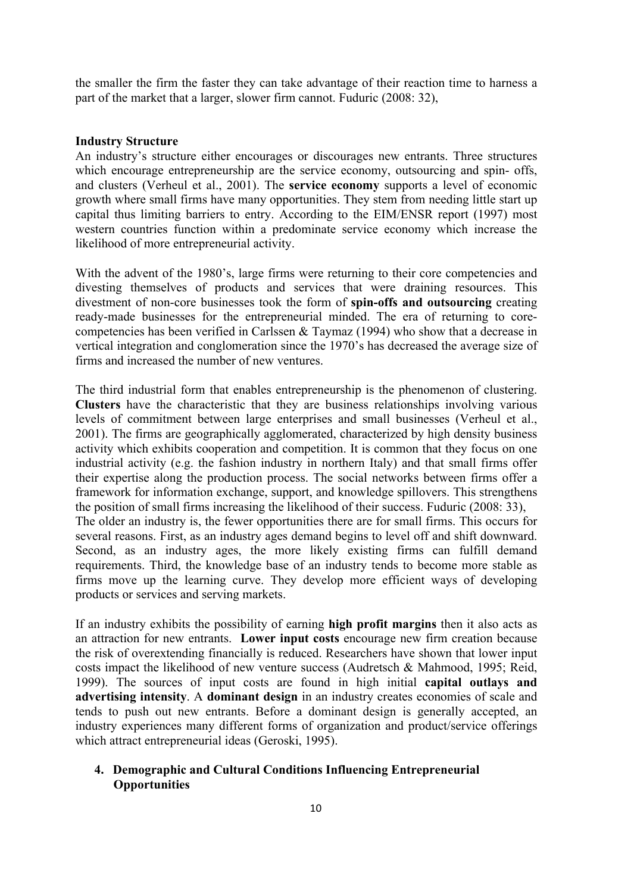the smaller the firm the faster they can take advantage of their reaction time to harness a part of the market that a larger, slower firm cannot. Fuduric (2008: 32),

## **Industry Structure**

An industry's structure either encourages or discourages new entrants. Three structures which encourage entrepreneurship are the service economy, outsourcing and spin- offs, and clusters (Verheul et al., 2001). The **service economy** supports a level of economic growth where small firms have many opportunities. They stem from needing little start up capital thus limiting barriers to entry. According to the EIM/ENSR report (1997) most western countries function within a predominate service economy which increase the likelihood of more entrepreneurial activity.

With the advent of the 1980's, large firms were returning to their core competencies and divesting themselves of products and services that were draining resources. This divestment of non-core businesses took the form of **spin-offs and outsourcing** creating ready-made businesses for the entrepreneurial minded. The era of returning to corecompetencies has been verified in Carlssen & Taymaz (1994) who show that a decrease in vertical integration and conglomeration since the 1970's has decreased the average size of firms and increased the number of new ventures.

The third industrial form that enables entrepreneurship is the phenomenon of clustering. **Clusters** have the characteristic that they are business relationships involving various levels of commitment between large enterprises and small businesses (Verheul et al., 2001). The firms are geographically agglomerated, characterized by high density business activity which exhibits cooperation and competition. It is common that they focus on one industrial activity (e.g. the fashion industry in northern Italy) and that small firms offer their expertise along the production process. The social networks between firms offer a framework for information exchange, support, and knowledge spillovers. This strengthens the position of small firms increasing the likelihood of their success. Fuduric (2008: 33), The older an industry is, the fewer opportunities there are for small firms. This occurs for several reasons. First, as an industry ages demand begins to level off and shift downward. Second, as an industry ages, the more likely existing firms can fulfill demand requirements. Third, the knowledge base of an industry tends to become more stable as firms move up the learning curve. They develop more efficient ways of developing products or services and serving markets.

If an industry exhibits the possibility of earning **high profit margins** then it also acts as an attraction for new entrants. **Lower input costs** encourage new firm creation because the risk of overextending financially is reduced. Researchers have shown that lower input costs impact the likelihood of new venture success (Audretsch & Mahmood, 1995; Reid, 1999). The sources of input costs are found in high initial **capital outlays and advertising intensity**. A **dominant design** in an industry creates economies of scale and tends to push out new entrants. Before a dominant design is generally accepted, an industry experiences many different forms of organization and product/service offerings which attract entrepreneurial ideas (Geroski, 1995).

## **4. Demographic and Cultural Conditions Influencing Entrepreneurial Opportunities**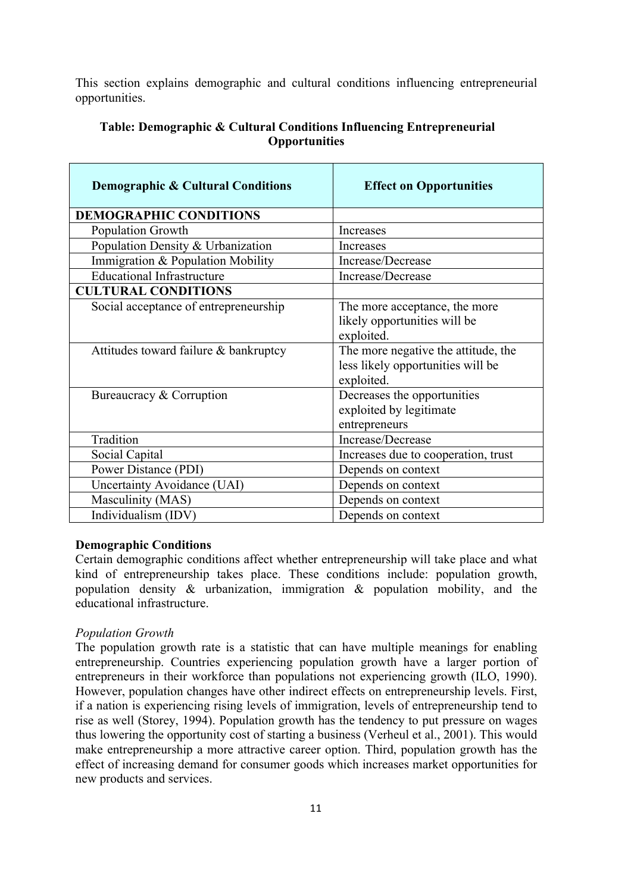This section explains demographic and cultural conditions influencing entrepreneurial opportunities.

| <b>Demographic &amp; Cultural Conditions</b> | <b>Effect on Opportunities</b>                                                         |
|----------------------------------------------|----------------------------------------------------------------------------------------|
| <b>DEMOGRAPHIC CONDITIONS</b>                |                                                                                        |
| Population Growth                            | Increases                                                                              |
| Population Density & Urbanization            | Increases                                                                              |
| Immigration & Population Mobility            | Increase/Decrease                                                                      |
| <b>Educational Infrastructure</b>            | Increase/Decrease                                                                      |
| <b>CULTURAL CONDITIONS</b>                   |                                                                                        |
| Social acceptance of entrepreneurship        | The more acceptance, the more<br>likely opportunities will be<br>exploited.            |
| Attitudes toward failure & bankruptcy        | The more negative the attitude, the<br>less likely opportunities will be<br>exploited. |
| Bureaucracy & Corruption                     | Decreases the opportunities<br>exploited by legitimate<br>entrepreneurs                |
| Tradition                                    | Increase/Decrease                                                                      |
| Social Capital                               | Increases due to cooperation, trust                                                    |
| Power Distance (PDI)                         | Depends on context                                                                     |
| Uncertainty Avoidance (UAI)                  | Depends on context                                                                     |
| Masculinity (MAS)                            | Depends on context                                                                     |
| Individualism (IDV)                          | Depends on context                                                                     |

## **Table: Demographic & Cultural Conditions Influencing Entrepreneurial Opportunities**

### **Demographic Conditions**

Certain demographic conditions affect whether entrepreneurship will take place and what kind of entrepreneurship takes place. These conditions include: population growth, population density & urbanization, immigration & population mobility, and the educational infrastructure.

### *Population Growth*

The population growth rate is a statistic that can have multiple meanings for enabling entrepreneurship. Countries experiencing population growth have a larger portion of entrepreneurs in their workforce than populations not experiencing growth (ILO, 1990). However, population changes have other indirect effects on entrepreneurship levels. First, if a nation is experiencing rising levels of immigration, levels of entrepreneurship tend to rise as well (Storey, 1994). Population growth has the tendency to put pressure on wages thus lowering the opportunity cost of starting a business (Verheul et al., 2001). This would make entrepreneurship a more attractive career option. Third, population growth has the effect of increasing demand for consumer goods which increases market opportunities for new products and services.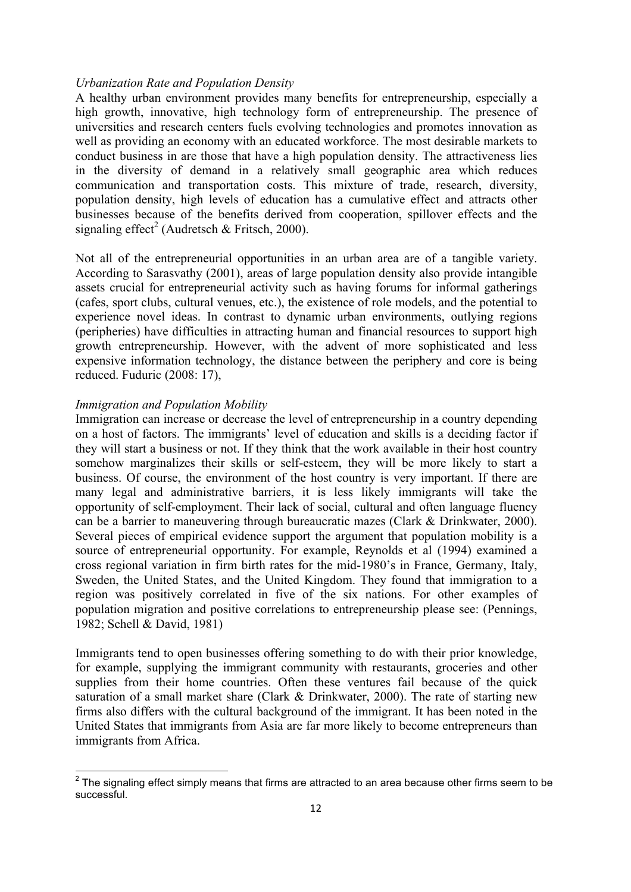### *Urbanization Rate and Population Density*

A healthy urban environment provides many benefits for entrepreneurship, especially a high growth, innovative, high technology form of entrepreneurship. The presence of universities and research centers fuels evolving technologies and promotes innovation as well as providing an economy with an educated workforce. The most desirable markets to conduct business in are those that have a high population density. The attractiveness lies in the diversity of demand in a relatively small geographic area which reduces communication and transportation costs. This mixture of trade, research, diversity, population density, high levels of education has a cumulative effect and attracts other businesses because of the benefits derived from cooperation, spillover effects and the signaling effect<sup>2</sup> (Audretsch & Fritsch, 2000).

Not all of the entrepreneurial opportunities in an urban area are of a tangible variety. According to Sarasvathy (2001), areas of large population density also provide intangible assets crucial for entrepreneurial activity such as having forums for informal gatherings (cafes, sport clubs, cultural venues, etc.), the existence of role models, and the potential to experience novel ideas. In contrast to dynamic urban environments, outlying regions (peripheries) have difficulties in attracting human and financial resources to support high growth entrepreneurship. However, with the advent of more sophisticated and less expensive information technology, the distance between the periphery and core is being reduced. Fuduric (2008: 17),

### *Immigration and Population Mobility*

Immigration can increase or decrease the level of entrepreneurship in a country depending on a host of factors. The immigrants' level of education and skills is a deciding factor if they will start a business or not. If they think that the work available in their host country somehow marginalizes their skills or self-esteem, they will be more likely to start a business. Of course, the environment of the host country is very important. If there are many legal and administrative barriers, it is less likely immigrants will take the opportunity of self-employment. Their lack of social, cultural and often language fluency can be a barrier to maneuvering through bureaucratic mazes (Clark & Drinkwater, 2000). Several pieces of empirical evidence support the argument that population mobility is a source of entrepreneurial opportunity. For example, Reynolds et al (1994) examined a cross regional variation in firm birth rates for the mid-1980's in France, Germany, Italy, Sweden, the United States, and the United Kingdom. They found that immigration to a region was positively correlated in five of the six nations. For other examples of population migration and positive correlations to entrepreneurship please see: (Pennings, 1982; Schell & David, 1981)

Immigrants tend to open businesses offering something to do with their prior knowledge, for example, supplying the immigrant community with restaurants, groceries and other supplies from their home countries. Often these ventures fail because of the quick saturation of a small market share (Clark & Drinkwater, 2000). The rate of starting new firms also differs with the cultural background of the immigrant. It has been noted in the United States that immigrants from Asia are far more likely to become entrepreneurs than immigrants from Africa.

 $2$  The signaling effect simply means that firms are attracted to an area because other firms seem to be successful.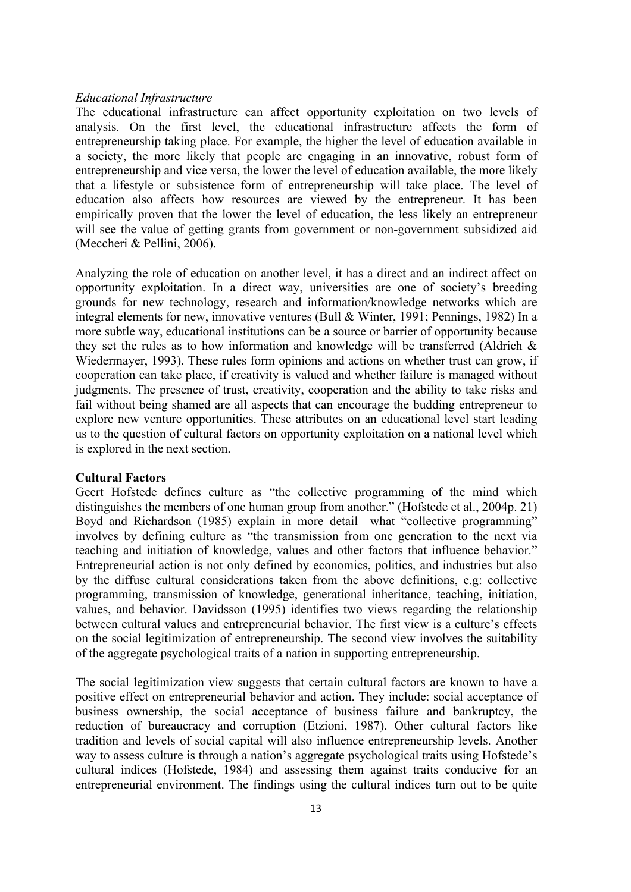#### *Educational Infrastructure*

The educational infrastructure can affect opportunity exploitation on two levels of analysis. On the first level, the educational infrastructure affects the form of entrepreneurship taking place. For example, the higher the level of education available in a society, the more likely that people are engaging in an innovative, robust form of entrepreneurship and vice versa, the lower the level of education available, the more likely that a lifestyle or subsistence form of entrepreneurship will take place. The level of education also affects how resources are viewed by the entrepreneur. It has been empirically proven that the lower the level of education, the less likely an entrepreneur will see the value of getting grants from government or non-government subsidized aid (Meccheri & Pellini, 2006).

Analyzing the role of education on another level, it has a direct and an indirect affect on opportunity exploitation. In a direct way, universities are one of society's breeding grounds for new technology, research and information/knowledge networks which are integral elements for new, innovative ventures (Bull & Winter, 1991; Pennings, 1982) In a more subtle way, educational institutions can be a source or barrier of opportunity because they set the rules as to how information and knowledge will be transferred (Aldrich & Wiedermayer, 1993). These rules form opinions and actions on whether trust can grow, if cooperation can take place, if creativity is valued and whether failure is managed without judgments. The presence of trust, creativity, cooperation and the ability to take risks and fail without being shamed are all aspects that can encourage the budding entrepreneur to explore new venture opportunities. These attributes on an educational level start leading us to the question of cultural factors on opportunity exploitation on a national level which is explored in the next section.

#### **Cultural Factors**

Geert Hofstede defines culture as "the collective programming of the mind which distinguishes the members of one human group from another." (Hofstede et al., 2004p. 21) Boyd and Richardson (1985) explain in more detail what "collective programming" involves by defining culture as "the transmission from one generation to the next via teaching and initiation of knowledge, values and other factors that influence behavior." Entrepreneurial action is not only defined by economics, politics, and industries but also by the diffuse cultural considerations taken from the above definitions, e.g: collective programming, transmission of knowledge, generational inheritance, teaching, initiation, values, and behavior. Davidsson (1995) identifies two views regarding the relationship between cultural values and entrepreneurial behavior. The first view is a culture's effects on the social legitimization of entrepreneurship. The second view involves the suitability of the aggregate psychological traits of a nation in supporting entrepreneurship.

The social legitimization view suggests that certain cultural factors are known to have a positive effect on entrepreneurial behavior and action. They include: social acceptance of business ownership, the social acceptance of business failure and bankruptcy, the reduction of bureaucracy and corruption (Etzioni, 1987). Other cultural factors like tradition and levels of social capital will also influence entrepreneurship levels. Another way to assess culture is through a nation's aggregate psychological traits using Hofstede's cultural indices (Hofstede, 1984) and assessing them against traits conducive for an entrepreneurial environment. The findings using the cultural indices turn out to be quite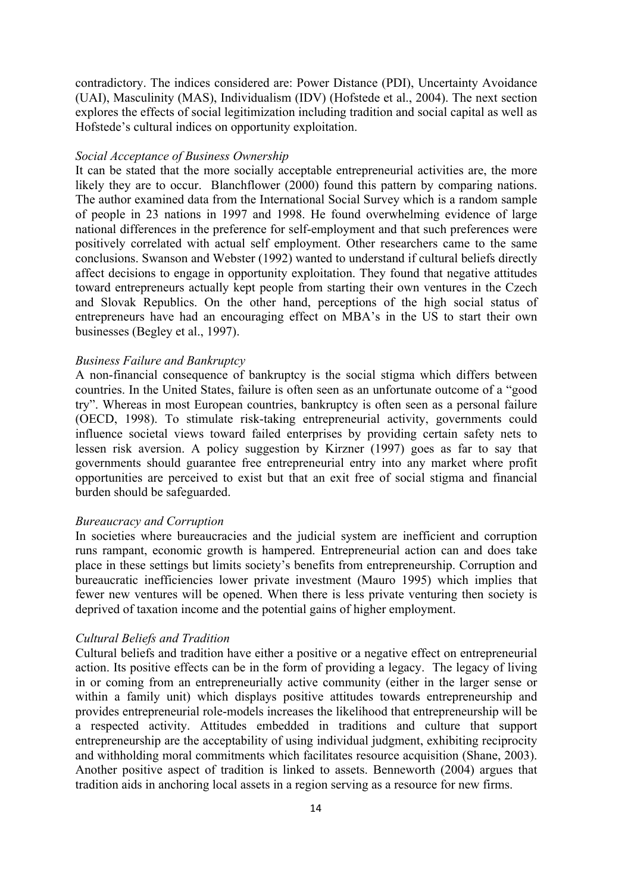contradictory. The indices considered are: Power Distance (PDI), Uncertainty Avoidance (UAI), Masculinity (MAS), Individualism (IDV) (Hofstede et al., 2004). The next section explores the effects of social legitimization including tradition and social capital as well as Hofstede's cultural indices on opportunity exploitation.

#### *Social Acceptance of Business Ownership*

It can be stated that the more socially acceptable entrepreneurial activities are, the more likely they are to occur. Blanchflower (2000) found this pattern by comparing nations. The author examined data from the International Social Survey which is a random sample of people in 23 nations in 1997 and 1998. He found overwhelming evidence of large national differences in the preference for self-employment and that such preferences were positively correlated with actual self employment. Other researchers came to the same conclusions. Swanson and Webster (1992) wanted to understand if cultural beliefs directly affect decisions to engage in opportunity exploitation. They found that negative attitudes toward entrepreneurs actually kept people from starting their own ventures in the Czech and Slovak Republics. On the other hand, perceptions of the high social status of entrepreneurs have had an encouraging effect on MBA's in the US to start their own businesses (Begley et al., 1997).

#### *Business Failure and Bankruptcy*

A non-financial consequence of bankruptcy is the social stigma which differs between countries. In the United States, failure is often seen as an unfortunate outcome of a "good try". Whereas in most European countries, bankruptcy is often seen as a personal failure (OECD, 1998). To stimulate risk-taking entrepreneurial activity, governments could influence societal views toward failed enterprises by providing certain safety nets to lessen risk aversion. A policy suggestion by Kirzner (1997) goes as far to say that governments should guarantee free entrepreneurial entry into any market where profit opportunities are perceived to exist but that an exit free of social stigma and financial burden should be safeguarded.

#### *Bureaucracy and Corruption*

In societies where bureaucracies and the judicial system are inefficient and corruption runs rampant, economic growth is hampered. Entrepreneurial action can and does take place in these settings but limits society's benefits from entrepreneurship. Corruption and bureaucratic inefficiencies lower private investment (Mauro 1995) which implies that fewer new ventures will be opened. When there is less private venturing then society is deprived of taxation income and the potential gains of higher employment.

#### *Cultural Beliefs and Tradition*

Cultural beliefs and tradition have either a positive or a negative effect on entrepreneurial action. Its positive effects can be in the form of providing a legacy. The legacy of living in or coming from an entrepreneurially active community (either in the larger sense or within a family unit) which displays positive attitudes towards entrepreneurship and provides entrepreneurial role-models increases the likelihood that entrepreneurship will be a respected activity. Attitudes embedded in traditions and culture that support entrepreneurship are the acceptability of using individual judgment, exhibiting reciprocity and withholding moral commitments which facilitates resource acquisition (Shane, 2003). Another positive aspect of tradition is linked to assets. Benneworth (2004) argues that tradition aids in anchoring local assets in a region serving as a resource for new firms.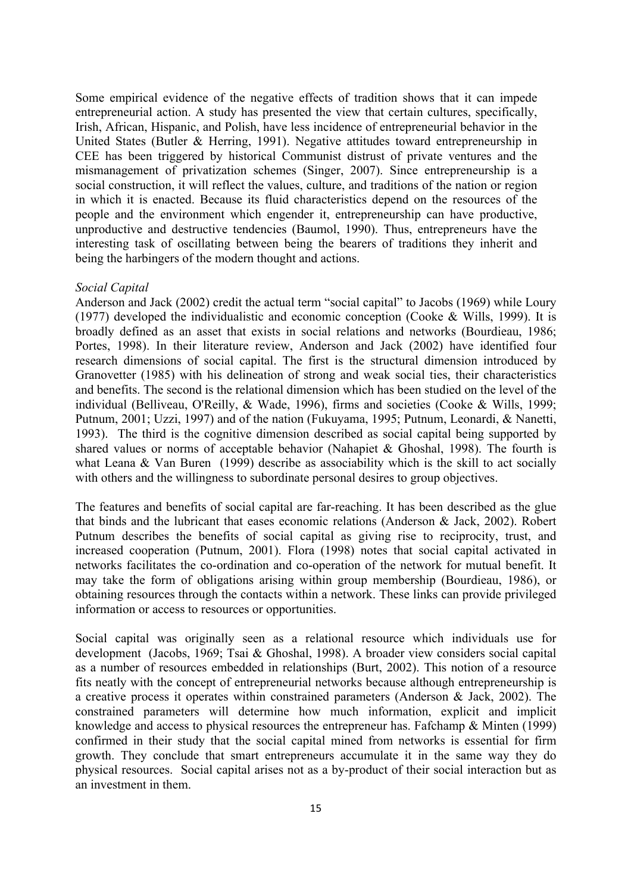Some empirical evidence of the negative effects of tradition shows that it can impede entrepreneurial action. A study has presented the view that certain cultures, specifically, Irish, African, Hispanic, and Polish, have less incidence of entrepreneurial behavior in the United States (Butler & Herring, 1991). Negative attitudes toward entrepreneurship in CEE has been triggered by historical Communist distrust of private ventures and the mismanagement of privatization schemes (Singer, 2007). Since entrepreneurship is a social construction, it will reflect the values, culture, and traditions of the nation or region in which it is enacted. Because its fluid characteristics depend on the resources of the people and the environment which engender it, entrepreneurship can have productive, unproductive and destructive tendencies (Baumol, 1990). Thus, entrepreneurs have the interesting task of oscillating between being the bearers of traditions they inherit and being the harbingers of the modern thought and actions.

#### *Social Capital*

Anderson and Jack (2002) credit the actual term "social capital" to Jacobs (1969) while Loury (1977) developed the individualistic and economic conception (Cooke & Wills, 1999). It is broadly defined as an asset that exists in social relations and networks (Bourdieau, 1986; Portes, 1998). In their literature review, Anderson and Jack (2002) have identified four research dimensions of social capital. The first is the structural dimension introduced by Granovetter (1985) with his delineation of strong and weak social ties, their characteristics and benefits. The second is the relational dimension which has been studied on the level of the individual (Belliveau, O'Reilly, & Wade, 1996), firms and societies (Cooke & Wills, 1999; Putnum, 2001; Uzzi, 1997) and of the nation (Fukuyama, 1995; Putnum, Leonardi, & Nanetti, 1993). The third is the cognitive dimension described as social capital being supported by shared values or norms of acceptable behavior (Nahapiet & Ghoshal, 1998). The fourth is what Leana & Van Buren (1999) describe as associability which is the skill to act socially with others and the willingness to subordinate personal desires to group objectives.

The features and benefits of social capital are far-reaching. It has been described as the glue that binds and the lubricant that eases economic relations (Anderson & Jack, 2002). Robert Putnum describes the benefits of social capital as giving rise to reciprocity, trust, and increased cooperation (Putnum, 2001). Flora (1998) notes that social capital activated in networks facilitates the co-ordination and co-operation of the network for mutual benefit. It may take the form of obligations arising within group membership (Bourdieau, 1986), or obtaining resources through the contacts within a network. These links can provide privileged information or access to resources or opportunities.

Social capital was originally seen as a relational resource which individuals use for development (Jacobs, 1969; Tsai & Ghoshal, 1998). A broader view considers social capital as a number of resources embedded in relationships (Burt, 2002). This notion of a resource fits neatly with the concept of entrepreneurial networks because although entrepreneurship is a creative process it operates within constrained parameters (Anderson & Jack, 2002). The constrained parameters will determine how much information, explicit and implicit knowledge and access to physical resources the entrepreneur has. Fafchamp & Minten (1999) confirmed in their study that the social capital mined from networks is essential for firm growth. They conclude that smart entrepreneurs accumulate it in the same way they do physical resources. Social capital arises not as a by-product of their social interaction but as an investment in them.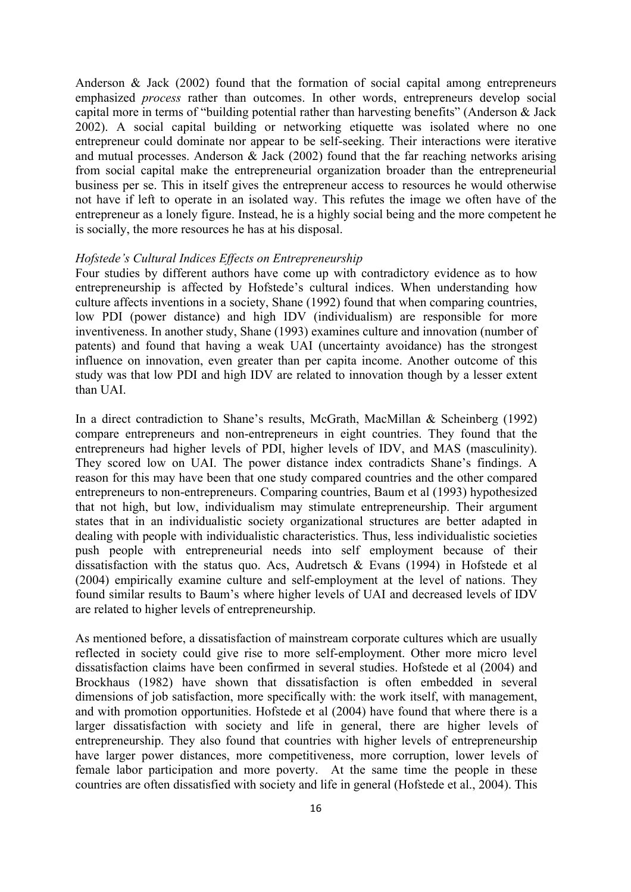Anderson & Jack (2002) found that the formation of social capital among entrepreneurs emphasized *process* rather than outcomes. In other words, entrepreneurs develop social capital more in terms of "building potential rather than harvesting benefits" (Anderson & Jack 2002). A social capital building or networking etiquette was isolated where no one entrepreneur could dominate nor appear to be self-seeking. Their interactions were iterative and mutual processes. Anderson  $\&$  Jack (2002) found that the far reaching networks arising from social capital make the entrepreneurial organization broader than the entrepreneurial business per se. This in itself gives the entrepreneur access to resources he would otherwise not have if left to operate in an isolated way. This refutes the image we often have of the entrepreneur as a lonely figure. Instead, he is a highly social being and the more competent he is socially, the more resources he has at his disposal.

#### *Hofstede's Cultural Indices Effects on Entrepreneurship*

Four studies by different authors have come up with contradictory evidence as to how entrepreneurship is affected by Hofstede's cultural indices. When understanding how culture affects inventions in a society, Shane (1992) found that when comparing countries, low PDI (power distance) and high IDV (individualism) are responsible for more inventiveness. In another study, Shane (1993) examines culture and innovation (number of patents) and found that having a weak UAI (uncertainty avoidance) has the strongest influence on innovation, even greater than per capita income. Another outcome of this study was that low PDI and high IDV are related to innovation though by a lesser extent than UAI.

In a direct contradiction to Shane's results, McGrath, MacMillan & Scheinberg (1992) compare entrepreneurs and non-entrepreneurs in eight countries. They found that the entrepreneurs had higher levels of PDI, higher levels of IDV, and MAS (masculinity). They scored low on UAI. The power distance index contradicts Shane's findings. A reason for this may have been that one study compared countries and the other compared entrepreneurs to non-entrepreneurs. Comparing countries, Baum et al (1993) hypothesized that not high, but low, individualism may stimulate entrepreneurship. Their argument states that in an individualistic society organizational structures are better adapted in dealing with people with individualistic characteristics. Thus, less individualistic societies push people with entrepreneurial needs into self employment because of their dissatisfaction with the status quo. Acs, Audretsch & Evans (1994) in Hofstede et al (2004) empirically examine culture and self-employment at the level of nations. They found similar results to Baum's where higher levels of UAI and decreased levels of IDV are related to higher levels of entrepreneurship.

As mentioned before, a dissatisfaction of mainstream corporate cultures which are usually reflected in society could give rise to more self-employment. Other more micro level dissatisfaction claims have been confirmed in several studies. Hofstede et al (2004) and Brockhaus (1982) have shown that dissatisfaction is often embedded in several dimensions of job satisfaction, more specifically with: the work itself, with management, and with promotion opportunities. Hofstede et al (2004) have found that where there is a larger dissatisfaction with society and life in general, there are higher levels of entrepreneurship. They also found that countries with higher levels of entrepreneurship have larger power distances, more competitiveness, more corruption, lower levels of female labor participation and more poverty. At the same time the people in these countries are often dissatisfied with society and life in general (Hofstede et al., 2004). This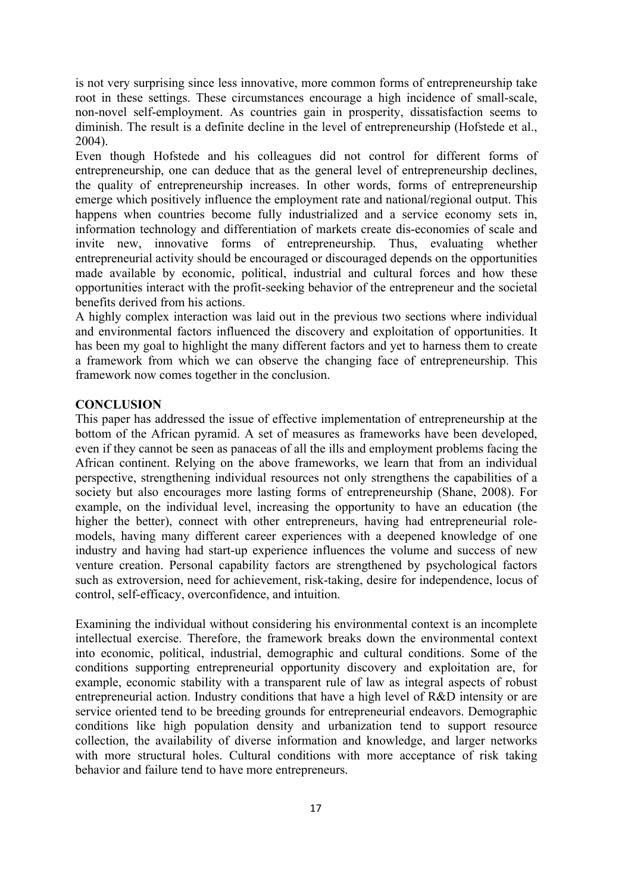is not very surprising since less innovative, more common forms of entrepreneurship take root in these settings. These circumstances encourage a high incidence of small-scale, non-novel self-employment. As countries gain in prosperity, dissatisfaction seems to diminish. The result is a definite decline in the level of entrepreneurship (Hofstede et al., 2004).

Even though Hofstede and his colleagues did not control for different forms of entrepreneurship, one can deduce that as the general level of entrepreneurship declines, the quality of entrepreneurship increases. In other words, forms of entrepreneurship emerge which positively influence the employment rate and national/regional output. This happens when countries become fully industrialized and a service economy sets in, information technology and differentiation of markets create dis-economies of scale and invite new, innovative forms of entrepreneurship. Thus, evaluating whether entrepreneurial activity should be encouraged or discouraged depends on the opportunities made available by economic, political, industrial and cultural forces and how these opportunities interact with the profit-seeking behavior of the entrepreneur and the societal benefits derived from his actions.

A highly complex interaction was laid out in the previous two sections where individual and environmental factors influenced the discovery and exploitation of opportunities. It has been my goal to highlight the many different factors and yet to harness them to create a framework from which we can observe the changing face of entrepreneurship. This framework now comes together in the conclusion.

### **CONCLUSION**

This paper has addressed the issue of effective implementation of entrepreneurship at the bottom of the African pyramid. A set of measures as frameworks have been developed, even if they cannot be seen as panaceas of all the ills and employment problems facing the African continent. Relying on the above frameworks, we learn that from an individual perspective, strengthening individual resources not only strengthens the capabilities of a society but also encourages more lasting forms of entrepreneurship (Shane, 2008). For example, on the individual level, increasing the opportunity to have an education (the higher the better), connect with other entrepreneurs, having had entrepreneurial rolemodels, having many different career experiences with a deepened knowledge of one industry and having had start-up experience influences the volume and success of new venture creation. Personal capability factors are strengthened by psychological factors such as extroversion, need for achievement, risk-taking, desire for independence, locus of control, self-efficacy, overconfidence, and intuition.

Examining the individual without considering his environmental context is an incomplete intellectual exercise. Therefore, the framework breaks down the environmental context into economic, political, industrial, demographic and cultural conditions. Some of the conditions supporting entrepreneurial opportunity discovery and exploitation are, for example, economic stability with a transparent rule of law as integral aspects of robust entrepreneurial action. Industry conditions that have a high level of R&D intensity or are service oriented tend to be breeding grounds for entrepreneurial endeavors. Demographic conditions like high population density and urbanization tend to support resource collection, the availability of diverse information and knowledge, and larger networks with more structural holes. Cultural conditions with more acceptance of risk taking behavior and failure tend to have more entrepreneurs.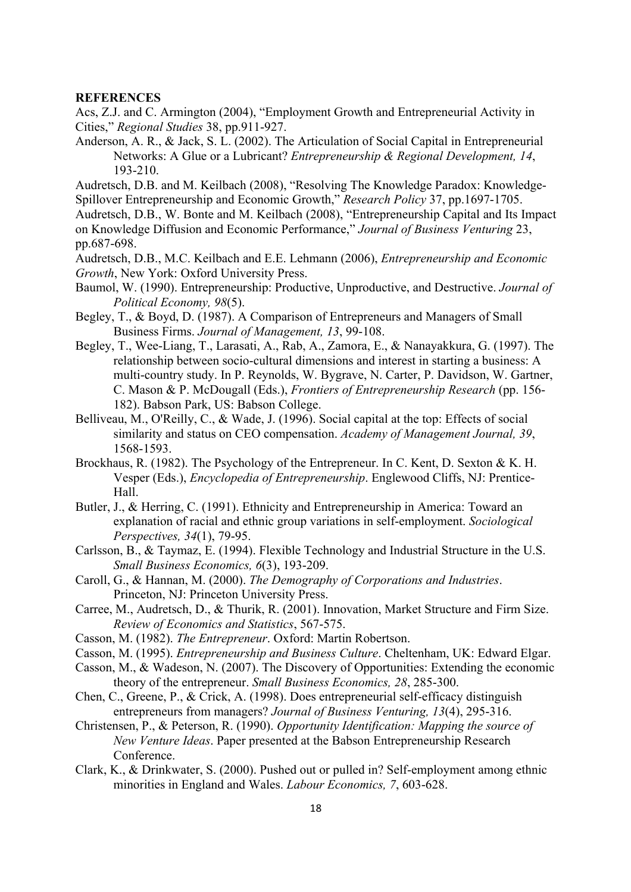#### **REFERENCES**

Acs, Z.J. and C. Armington (2004), "Employment Growth and Entrepreneurial Activity in Cities," *Regional Studies* 38, pp.911-927.

Anderson, A. R., & Jack, S. L. (2002). The Articulation of Social Capital in Entrepreneurial Networks: A Glue or a Lubricant? *Entrepreneurship & Regional Development, 14*, 193-210.

Audretsch, D.B. and M. Keilbach (2008), "Resolving The Knowledge Paradox: Knowledge-Spillover Entrepreneurship and Economic Growth," *Research Policy* 37, pp.1697-1705.

Audretsch, D.B., W. Bonte and M. Keilbach (2008), "Entrepreneurship Capital and Its Impact on Knowledge Diffusion and Economic Performance," *Journal of Business Venturing* 23, pp.687-698.

Audretsch, D.B., M.C. Keilbach and E.E. Lehmann (2006), *Entrepreneurship and Economic Growth*, New York: Oxford University Press.

Baumol, W. (1990). Entrepreneurship: Productive, Unproductive, and Destructive. *Journal of Political Economy, 98*(5).

Begley, T., & Boyd, D. (1987). A Comparison of Entrepreneurs and Managers of Small Business Firms. *Journal of Management, 13*, 99-108.

- Begley, T., Wee-Liang, T., Larasati, A., Rab, A., Zamora, E., & Nanayakkura, G. (1997). The relationship between socio-cultural dimensions and interest in starting a business: A multi-country study. In P. Reynolds, W. Bygrave, N. Carter, P. Davidson, W. Gartner, C. Mason & P. McDougall (Eds.), *Frontiers of Entrepreneurship Research* (pp. 156- 182). Babson Park, US: Babson College.
- Belliveau, M., O'Reilly, C., & Wade, J. (1996). Social capital at the top: Effects of social similarity and status on CEO compensation. *Academy of Management Journal, 39*, 1568-1593.
- Brockhaus, R. (1982). The Psychology of the Entrepreneur. In C. Kent, D. Sexton & K. H. Vesper (Eds.), *Encyclopedia of Entrepreneurship*. Englewood Cliffs, NJ: Prentice-Hall.
- Butler, J., & Herring, C. (1991). Ethnicity and Entrepreneurship in America: Toward an explanation of racial and ethnic group variations in self-employment. *Sociological Perspectives, 34*(1), 79-95.
- Carlsson, B., & Taymaz, E. (1994). Flexible Technology and Industrial Structure in the U.S. *Small Business Economics, 6*(3), 193-209.
- Caroll, G., & Hannan, M. (2000). *The Demography of Corporations and Industries*. Princeton, NJ: Princeton University Press.
- Carree, M., Audretsch, D., & Thurik, R. (2001). Innovation, Market Structure and Firm Size. *Review of Economics and Statistics*, 567-575.
- Casson, M. (1982). *The Entrepreneur*. Oxford: Martin Robertson.
- Casson, M. (1995). *Entrepreneurship and Business Culture*. Cheltenham, UK: Edward Elgar.
- Casson, M., & Wadeson, N. (2007). The Discovery of Opportunities: Extending the economic theory of the entrepreneur. *Small Business Economics, 28*, 285-300.
- Chen, C., Greene, P., & Crick, A. (1998). Does entrepreneurial self-efficacy distinguish entrepreneurs from managers? *Journal of Business Venturing, 13*(4), 295-316.

Christensen, P., & Peterson, R. (1990). *Opportunity Identification: Mapping the source of New Venture Ideas*. Paper presented at the Babson Entrepreneurship Research Conference.

Clark, K., & Drinkwater, S. (2000). Pushed out or pulled in? Self-employment among ethnic minorities in England and Wales. *Labour Economics, 7*, 603-628.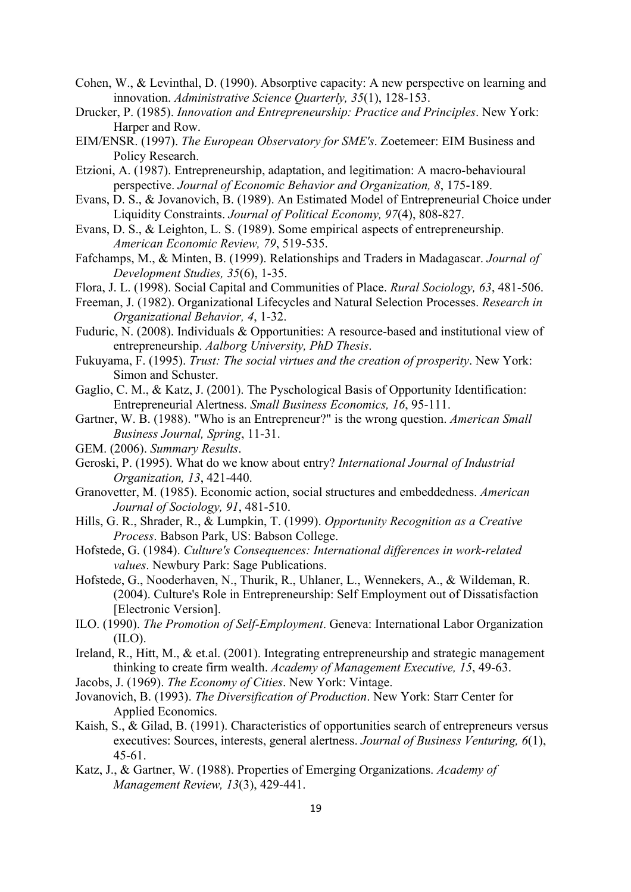- Cohen, W., & Levinthal, D. (1990). Absorptive capacity: A new perspective on learning and innovation. *Administrative Science Quarterly, 35*(1), 128-153.
- Drucker, P. (1985). *Innovation and Entrepreneurship: Practice and Principles*. New York: Harper and Row.
- EIM/ENSR. (1997). *The European Observatory for SME's*. Zoetemeer: EIM Business and Policy Research.
- Etzioni, A. (1987). Entrepreneurship, adaptation, and legitimation: A macro-behavioural perspective. *Journal of Economic Behavior and Organization, 8*, 175-189.
- Evans, D. S., & Jovanovich, B. (1989). An Estimated Model of Entrepreneurial Choice under Liquidity Constraints. *Journal of Political Economy, 97*(4), 808-827.
- Evans, D. S., & Leighton, L. S. (1989). Some empirical aspects of entrepreneurship. *American Economic Review, 79*, 519-535.
- Fafchamps, M., & Minten, B. (1999). Relationships and Traders in Madagascar. *Journal of Development Studies, 35*(6), 1-35.
- Flora, J. L. (1998). Social Capital and Communities of Place. *Rural Sociology, 63*, 481-506.
- Freeman, J. (1982). Organizational Lifecycles and Natural Selection Processes. *Research in Organizational Behavior, 4*, 1-32.
- Fuduric, N. (2008). Individuals & Opportunities: A resource-based and institutional view of entrepreneurship. *Aalborg University, PhD Thesis*.
- Fukuyama, F. (1995). *Trust: The social virtues and the creation of prosperity*. New York: Simon and Schuster.
- Gaglio, C. M., & Katz, J. (2001). The Pyschological Basis of Opportunity Identification: Entrepreneurial Alertness. *Small Business Economics, 16*, 95-111.
- Gartner, W. B. (1988). "Who is an Entrepreneur?" is the wrong question. *American Small Business Journal, Spring*, 11-31.
- GEM. (2006). *Summary Results*.
- Geroski, P. (1995). What do we know about entry? *International Journal of Industrial Organization, 13*, 421-440.
- Granovetter, M. (1985). Economic action, social structures and embeddedness. *American Journal of Sociology, 91*, 481-510.
- Hills, G. R., Shrader, R., & Lumpkin, T. (1999). *Opportunity Recognition as a Creative Process*. Babson Park, US: Babson College.
- Hofstede, G. (1984). *Culture's Consequences: International differences in work-related values*. Newbury Park: Sage Publications.
- Hofstede, G., Nooderhaven, N., Thurik, R., Uhlaner, L., Wennekers, A., & Wildeman, R. (2004). Culture's Role in Entrepreneurship: Self Employment out of Dissatisfaction [Electronic Version].
- ILO. (1990). *The Promotion of Self-Employment*. Geneva: International Labor Organization  $(II<sub>O</sub>)$ .
- Ireland, R., Hitt, M., & et.al. (2001). Integrating entrepreneurship and strategic management thinking to create firm wealth. *Academy of Management Executive, 15*, 49-63.
- Jacobs, J. (1969). *The Economy of Cities*. New York: Vintage.
- Jovanovich, B. (1993). *The Diversification of Production*. New York: Starr Center for Applied Economics.
- Kaish, S., & Gilad, B. (1991). Characteristics of opportunities search of entrepreneurs versus executives: Sources, interests, general alertness. *Journal of Business Venturing, 6*(1), 45-61.
- Katz, J., & Gartner, W. (1988). Properties of Emerging Organizations. *Academy of Management Review, 13*(3), 429-441.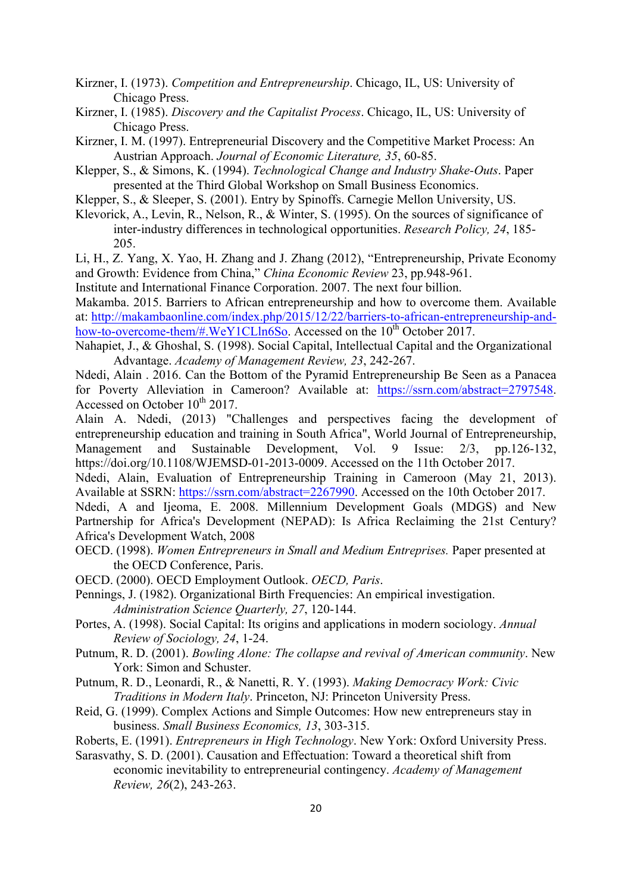Kirzner, I. (1973). *Competition and Entrepreneurship*. Chicago, IL, US: University of Chicago Press.

Kirzner, I. (1985). *Discovery and the Capitalist Process*. Chicago, IL, US: University of Chicago Press.

Kirzner, I. M. (1997). Entrepreneurial Discovery and the Competitive Market Process: An Austrian Approach. *Journal of Economic Literature, 35*, 60-85.

Klepper, S., & Simons, K. (1994). *Technological Change and Industry Shake-Outs*. Paper presented at the Third Global Workshop on Small Business Economics.

Klepper, S., & Sleeper, S. (2001). Entry by Spinoffs. Carnegie Mellon University, US.

Klevorick, A., Levin, R., Nelson, R., & Winter, S. (1995). On the sources of significance of inter-industry differences in technological opportunities. *Research Policy, 24*, 185- 205.

Li, H., Z. Yang, X. Yao, H. Zhang and J. Zhang (2012), "Entrepreneurship, Private Economy and Growth: Evidence from China," *China Economic Review* 23, pp.948-961.

Institute and International Finance Corporation. 2007. The next four billion.

Makamba. 2015. Barriers to African entrepreneurship and how to overcome them. Available at: http://makambaonline.com/index.php/2015/12/22/barriers-to-african-entrepreneurship-andhow-to-overcome-them/#.WeY1CLln6So. Accessed on the 10<sup>th</sup> October 2017.

Nahapiet, J., & Ghoshal, S. (1998). Social Capital, Intellectual Capital and the Organizational Advantage. *Academy of Management Review, 23*, 242-267.

Ndedi, Alain . 2016. Can the Bottom of the Pyramid Entrepreneurship Be Seen as a Panacea for Poverty Alleviation in Cameroon? Available at: https://ssrn.com/abstract=2797548. Accessed on October  $10^{th}$  2017.

Alain A. Ndedi, (2013) "Challenges and perspectives facing the development of entrepreneurship education and training in South Africa", World Journal of Entrepreneurship, Management and Sustainable Development, Vol. 9 Issue: 2/3, pp.126-132, https://doi.org/10.1108/WJEMSD-01-2013-0009. Accessed on the 11th October 2017.

Ndedi, Alain, Evaluation of Entrepreneurship Training in Cameroon (May 21, 2013). Available at SSRN: https://ssrn.com/abstract=2267990. Accessed on the 10th October 2017.

Ndedi, A and Ijeoma, E. 2008. Millennium Development Goals (MDGS) and New Partnership for Africa's Development (NEPAD): Is Africa Reclaiming the 21st Century? Africa's Development Watch, 2008

- OECD. (1998). *Women Entrepreneurs in Small and Medium Entreprises.* Paper presented at the OECD Conference, Paris.
- OECD. (2000). OECD Employment Outlook. *OECD, Paris*.

Pennings, J. (1982). Organizational Birth Frequencies: An empirical investigation. *Administration Science Quarterly, 27*, 120-144.

- Portes, A. (1998). Social Capital: Its origins and applications in modern sociology. *Annual Review of Sociology, 24*, 1-24.
- Putnum, R. D. (2001). *Bowling Alone: The collapse and revival of American community*. New York: Simon and Schuster.
- Putnum, R. D., Leonardi, R., & Nanetti, R. Y. (1993). *Making Democracy Work: Civic Traditions in Modern Italy*. Princeton, NJ: Princeton University Press.
- Reid, G. (1999). Complex Actions and Simple Outcomes: How new entrepreneurs stay in business. *Small Business Economics, 13*, 303-315.

Roberts, E. (1991). *Entrepreneurs in High Technology*. New York: Oxford University Press.

Sarasvathy, S. D. (2001). Causation and Effectuation: Toward a theoretical shift from economic inevitability to entrepreneurial contingency. *Academy of Management Review, 26*(2), 243-263.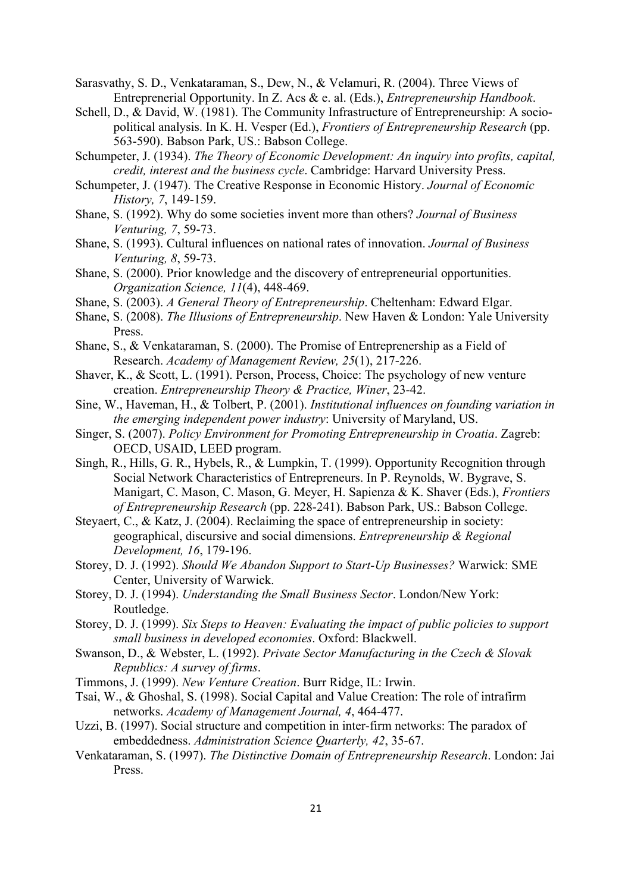Sarasvathy, S. D., Venkataraman, S., Dew, N., & Velamuri, R. (2004). Three Views of Entreprenerial Opportunity. In Z. Acs & e. al. (Eds.), *Entrepreneurship Handbook*.

- Schell, D., & David, W. (1981). The Community Infrastructure of Entrepreneurship: A sociopolitical analysis. In K. H. Vesper (Ed.), *Frontiers of Entrepreneurship Research* (pp. 563-590). Babson Park, US.: Babson College.
- Schumpeter, J. (1934). *The Theory of Economic Development: An inquiry into profits, capital, credit, interest and the business cycle*. Cambridge: Harvard University Press.
- Schumpeter, J. (1947). The Creative Response in Economic History. *Journal of Economic History, 7*, 149-159.
- Shane, S. (1992). Why do some societies invent more than others? *Journal of Business Venturing, 7*, 59-73.
- Shane, S. (1993). Cultural influences on national rates of innovation. *Journal of Business Venturing, 8*, 59-73.
- Shane, S. (2000). Prior knowledge and the discovery of entrepreneurial opportunities. *Organization Science, 11*(4), 448-469.
- Shane, S. (2003). *A General Theory of Entrepreneurship*. Cheltenham: Edward Elgar.
- Shane, S. (2008). *The Illusions of Entrepreneurship*. New Haven & London: Yale University Press.
- Shane, S., & Venkataraman, S. (2000). The Promise of Entreprenership as a Field of Research. *Academy of Management Review, 25*(1), 217-226.
- Shaver, K., & Scott, L. (1991). Person, Process, Choice: The psychology of new venture creation. *Entrepreneurship Theory & Practice, Winer*, 23-42.
- Sine, W., Haveman, H., & Tolbert, P. (2001). *Institutional influences on founding variation in the emerging independent power industry*: University of Maryland, US.
- Singer, S. (2007). *Policy Environment for Promoting Entrepreneurship in Croatia*. Zagreb: OECD, USAID, LEED program.
- Singh, R., Hills, G. R., Hybels, R., & Lumpkin, T. (1999). Opportunity Recognition through Social Network Characteristics of Entrepreneurs. In P. Reynolds, W. Bygrave, S. Manigart, C. Mason, C. Mason, G. Meyer, H. Sapienza & K. Shaver (Eds.), *Frontiers of Entrepreneurship Research* (pp. 228-241). Babson Park, US.: Babson College.
- Steyaert, C., & Katz, J. (2004). Reclaiming the space of entrepreneurship in society: geographical, discursive and social dimensions. *Entrepreneurship & Regional Development, 16*, 179-196.
- Storey, D. J. (1992). *Should We Abandon Support to Start-Up Businesses?* Warwick: SME Center, University of Warwick.
- Storey, D. J. (1994). *Understanding the Small Business Sector*. London/New York: Routledge.
- Storey, D. J. (1999). *Six Steps to Heaven: Evaluating the impact of public policies to support small business in developed economies*. Oxford: Blackwell.
- Swanson, D., & Webster, L. (1992). *Private Sector Manufacturing in the Czech & Slovak Republics: A survey of firms*.
- Timmons, J. (1999). *New Venture Creation*. Burr Ridge, IL: Irwin.
- Tsai, W., & Ghoshal, S. (1998). Social Capital and Value Creation: The role of intrafirm networks. *Academy of Management Journal, 4*, 464-477.
- Uzzi, B. (1997). Social structure and competition in inter-firm networks: The paradox of embeddedness. *Administration Science Quarterly, 42*, 35-67.
- Venkataraman, S. (1997). *The Distinctive Domain of Entrepreneurship Research*. London: Jai Press.